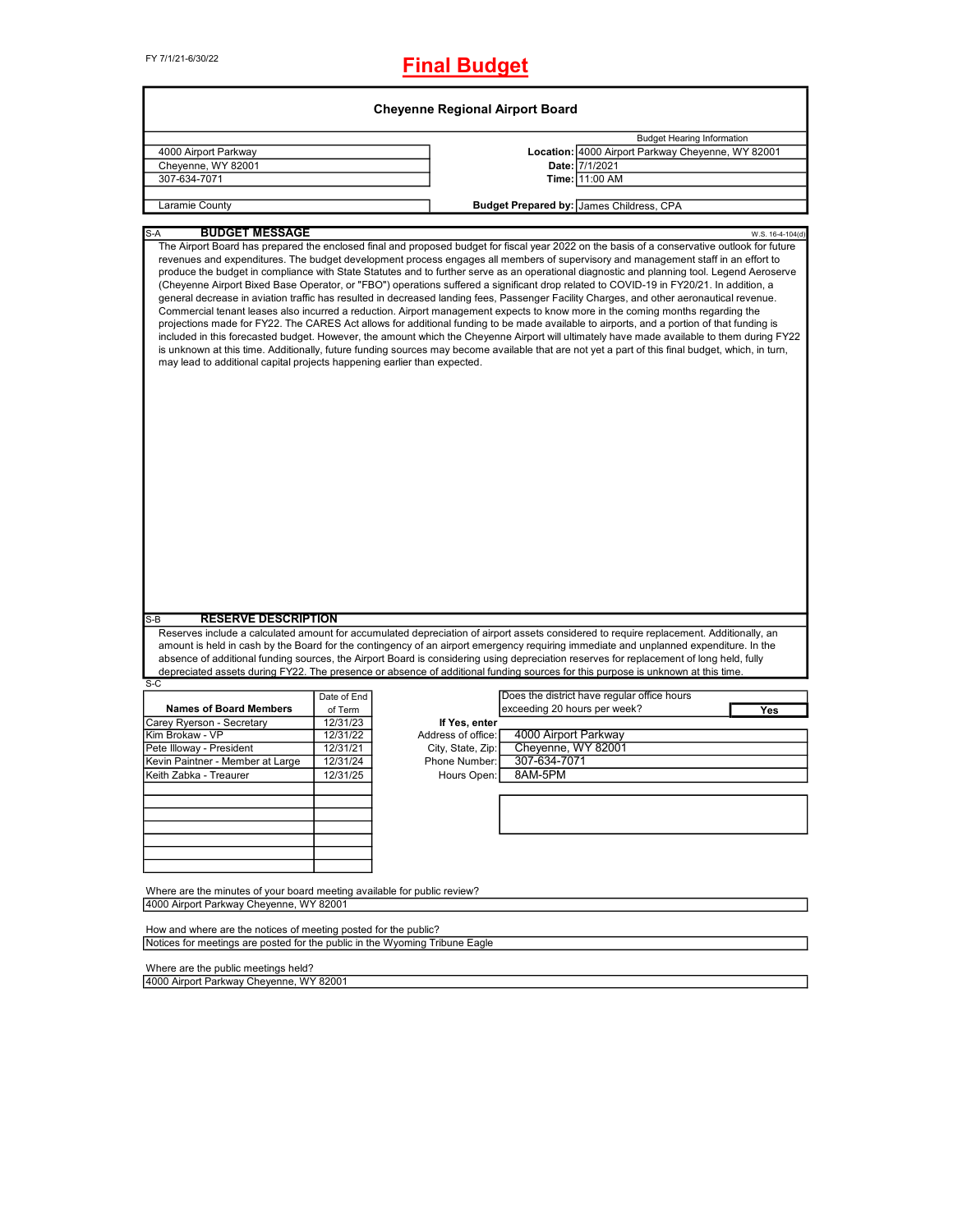| <b>Cheyenne Regional Airport Board</b>                                      |             |                    |                                                                                                                                                                                                                                                                                                                                                                                                                                                                                                                                                                                                                                                                                                                                                                                                                                                                                                                                                                                                                                                                                                                                                                                                                                                                                                        |  |  |  |  |
|-----------------------------------------------------------------------------|-------------|--------------------|--------------------------------------------------------------------------------------------------------------------------------------------------------------------------------------------------------------------------------------------------------------------------------------------------------------------------------------------------------------------------------------------------------------------------------------------------------------------------------------------------------------------------------------------------------------------------------------------------------------------------------------------------------------------------------------------------------------------------------------------------------------------------------------------------------------------------------------------------------------------------------------------------------------------------------------------------------------------------------------------------------------------------------------------------------------------------------------------------------------------------------------------------------------------------------------------------------------------------------------------------------------------------------------------------------|--|--|--|--|
|                                                                             |             |                    | <b>Budget Hearing Information</b>                                                                                                                                                                                                                                                                                                                                                                                                                                                                                                                                                                                                                                                                                                                                                                                                                                                                                                                                                                                                                                                                                                                                                                                                                                                                      |  |  |  |  |
| 4000 Airport Parkway                                                        |             |                    | Location: 4000 Airport Parkway Cheyenne, WY 82001                                                                                                                                                                                                                                                                                                                                                                                                                                                                                                                                                                                                                                                                                                                                                                                                                                                                                                                                                                                                                                                                                                                                                                                                                                                      |  |  |  |  |
| Cheyenne, WY 82001                                                          |             |                    | Date: 7/1/2021                                                                                                                                                                                                                                                                                                                                                                                                                                                                                                                                                                                                                                                                                                                                                                                                                                                                                                                                                                                                                                                                                                                                                                                                                                                                                         |  |  |  |  |
| 307-634-7071                                                                |             |                    | Time: 11:00 AM                                                                                                                                                                                                                                                                                                                                                                                                                                                                                                                                                                                                                                                                                                                                                                                                                                                                                                                                                                                                                                                                                                                                                                                                                                                                                         |  |  |  |  |
|                                                                             |             |                    |                                                                                                                                                                                                                                                                                                                                                                                                                                                                                                                                                                                                                                                                                                                                                                                                                                                                                                                                                                                                                                                                                                                                                                                                                                                                                                        |  |  |  |  |
| Laramie County                                                              |             |                    | Budget Prepared by: James Childress, CPA                                                                                                                                                                                                                                                                                                                                                                                                                                                                                                                                                                                                                                                                                                                                                                                                                                                                                                                                                                                                                                                                                                                                                                                                                                                               |  |  |  |  |
| <b>BUDGET MESSAGE</b><br>S-A                                                |             |                    | W.S. 16-4-104(d)                                                                                                                                                                                                                                                                                                                                                                                                                                                                                                                                                                                                                                                                                                                                                                                                                                                                                                                                                                                                                                                                                                                                                                                                                                                                                       |  |  |  |  |
| may lead to additional capital projects happening earlier than expected.    |             |                    | The Airport Board has prepared the enclosed final and proposed budget for fiscal year 2022 on the basis of a conservative outlook for future<br>revenues and expenditures. The budget development process engages all members of supervisory and management staff in an effort to<br>produce the budget in compliance with State Statutes and to further serve as an operational diagnostic and planning tool. Legend Aeroserve<br>(Cheyenne Airport Bixed Base Operator, or "FBO") operations suffered a significant drop related to COVID-19 in FY20/21. In addition, a<br>general decrease in aviation traffic has resulted in decreased landing fees, Passenger Facility Charges, and other aeronautical revenue.<br>Commercial tenant leases also incurred a reduction. Airport management expects to know more in the coming months regarding the<br>projections made for FY22. The CARES Act allows for additional funding to be made available to airports, and a portion of that funding is<br>included in this forecasted budget. However, the amount which the Cheyenne Airport will ultimately have made available to them during FY22<br>is unknown at this time. Additionally, future funding sources may become available that are not yet a part of this final budget, which, in turn, |  |  |  |  |
| <b>RESERVE DESCRIPTION</b><br>$S-B$                                         |             |                    |                                                                                                                                                                                                                                                                                                                                                                                                                                                                                                                                                                                                                                                                                                                                                                                                                                                                                                                                                                                                                                                                                                                                                                                                                                                                                                        |  |  |  |  |
|                                                                             |             |                    | Reserves include a calculated amount for accumulated depreciation of airport assets considered to require replacement. Additionally, an                                                                                                                                                                                                                                                                                                                                                                                                                                                                                                                                                                                                                                                                                                                                                                                                                                                                                                                                                                                                                                                                                                                                                                |  |  |  |  |
|                                                                             |             |                    | amount is held in cash by the Board for the contingency of an airport emergency requiring immediate and unplanned expenditure. In the                                                                                                                                                                                                                                                                                                                                                                                                                                                                                                                                                                                                                                                                                                                                                                                                                                                                                                                                                                                                                                                                                                                                                                  |  |  |  |  |
|                                                                             |             |                    | absence of additional funding sources, the Airport Board is considering using depreciation reserves for replacement of long held, fully                                                                                                                                                                                                                                                                                                                                                                                                                                                                                                                                                                                                                                                                                                                                                                                                                                                                                                                                                                                                                                                                                                                                                                |  |  |  |  |
|                                                                             |             |                    | depreciated assets during FY22. The presence or absence of additional funding sources for this purpose is unknown at this time.                                                                                                                                                                                                                                                                                                                                                                                                                                                                                                                                                                                                                                                                                                                                                                                                                                                                                                                                                                                                                                                                                                                                                                        |  |  |  |  |
| $S-C$                                                                       | Date of End |                    | Does the district have regular office hours                                                                                                                                                                                                                                                                                                                                                                                                                                                                                                                                                                                                                                                                                                                                                                                                                                                                                                                                                                                                                                                                                                                                                                                                                                                            |  |  |  |  |
| <b>Names of Board Members</b>                                               | of Term     |                    | exceeding 20 hours per week?<br>Yes                                                                                                                                                                                                                                                                                                                                                                                                                                                                                                                                                                                                                                                                                                                                                                                                                                                                                                                                                                                                                                                                                                                                                                                                                                                                    |  |  |  |  |
| Carey Ryerson - Secretary                                                   | 12/31/23    | If Yes, enter      |                                                                                                                                                                                                                                                                                                                                                                                                                                                                                                                                                                                                                                                                                                                                                                                                                                                                                                                                                                                                                                                                                                                                                                                                                                                                                                        |  |  |  |  |
| Kim Brokaw - VP                                                             | 12/31/22    | Address of office: | 4000 Airport Parkway                                                                                                                                                                                                                                                                                                                                                                                                                                                                                                                                                                                                                                                                                                                                                                                                                                                                                                                                                                                                                                                                                                                                                                                                                                                                                   |  |  |  |  |
| Pete Illoway - President                                                    | 12/31/21    | City, State, Zip:  | Cheyenne, WY 82001                                                                                                                                                                                                                                                                                                                                                                                                                                                                                                                                                                                                                                                                                                                                                                                                                                                                                                                                                                                                                                                                                                                                                                                                                                                                                     |  |  |  |  |
| Kevin Paintner - Member at Large                                            | 12/31/24    | Phone Number:      | 307-634-7071                                                                                                                                                                                                                                                                                                                                                                                                                                                                                                                                                                                                                                                                                                                                                                                                                                                                                                                                                                                                                                                                                                                                                                                                                                                                                           |  |  |  |  |
| Keith Zabka - Treaurer                                                      | 12/31/25    | Hours Open:        | 8AM-5PM                                                                                                                                                                                                                                                                                                                                                                                                                                                                                                                                                                                                                                                                                                                                                                                                                                                                                                                                                                                                                                                                                                                                                                                                                                                                                                |  |  |  |  |
|                                                                             |             |                    |                                                                                                                                                                                                                                                                                                                                                                                                                                                                                                                                                                                                                                                                                                                                                                                                                                                                                                                                                                                                                                                                                                                                                                                                                                                                                                        |  |  |  |  |
|                                                                             |             |                    |                                                                                                                                                                                                                                                                                                                                                                                                                                                                                                                                                                                                                                                                                                                                                                                                                                                                                                                                                                                                                                                                                                                                                                                                                                                                                                        |  |  |  |  |
|                                                                             |             |                    |                                                                                                                                                                                                                                                                                                                                                                                                                                                                                                                                                                                                                                                                                                                                                                                                                                                                                                                                                                                                                                                                                                                                                                                                                                                                                                        |  |  |  |  |
|                                                                             |             |                    |                                                                                                                                                                                                                                                                                                                                                                                                                                                                                                                                                                                                                                                                                                                                                                                                                                                                                                                                                                                                                                                                                                                                                                                                                                                                                                        |  |  |  |  |
|                                                                             |             |                    |                                                                                                                                                                                                                                                                                                                                                                                                                                                                                                                                                                                                                                                                                                                                                                                                                                                                                                                                                                                                                                                                                                                                                                                                                                                                                                        |  |  |  |  |
|                                                                             |             |                    |                                                                                                                                                                                                                                                                                                                                                                                                                                                                                                                                                                                                                                                                                                                                                                                                                                                                                                                                                                                                                                                                                                                                                                                                                                                                                                        |  |  |  |  |
|                                                                             |             |                    |                                                                                                                                                                                                                                                                                                                                                                                                                                                                                                                                                                                                                                                                                                                                                                                                                                                                                                                                                                                                                                                                                                                                                                                                                                                                                                        |  |  |  |  |
|                                                                             |             |                    |                                                                                                                                                                                                                                                                                                                                                                                                                                                                                                                                                                                                                                                                                                                                                                                                                                                                                                                                                                                                                                                                                                                                                                                                                                                                                                        |  |  |  |  |
| Where are the minutes of your board meeting available for public review?    |             |                    |                                                                                                                                                                                                                                                                                                                                                                                                                                                                                                                                                                                                                                                                                                                                                                                                                                                                                                                                                                                                                                                                                                                                                                                                                                                                                                        |  |  |  |  |
| 4000 Airport Parkway Cheyenne, WY 82001                                     |             |                    |                                                                                                                                                                                                                                                                                                                                                                                                                                                                                                                                                                                                                                                                                                                                                                                                                                                                                                                                                                                                                                                                                                                                                                                                                                                                                                        |  |  |  |  |
| How and where are the notices of meeting posted for the public?             |             |                    |                                                                                                                                                                                                                                                                                                                                                                                                                                                                                                                                                                                                                                                                                                                                                                                                                                                                                                                                                                                                                                                                                                                                                                                                                                                                                                        |  |  |  |  |
| Notices for meetings are posted for the public in the Wyoming Tribune Eagle |             |                    |                                                                                                                                                                                                                                                                                                                                                                                                                                                                                                                                                                                                                                                                                                                                                                                                                                                                                                                                                                                                                                                                                                                                                                                                                                                                                                        |  |  |  |  |
|                                                                             |             |                    |                                                                                                                                                                                                                                                                                                                                                                                                                                                                                                                                                                                                                                                                                                                                                                                                                                                                                                                                                                                                                                                                                                                                                                                                                                                                                                        |  |  |  |  |

Where are the public meetings held? 4000 Airport Parkway Cheyenne, WY 82001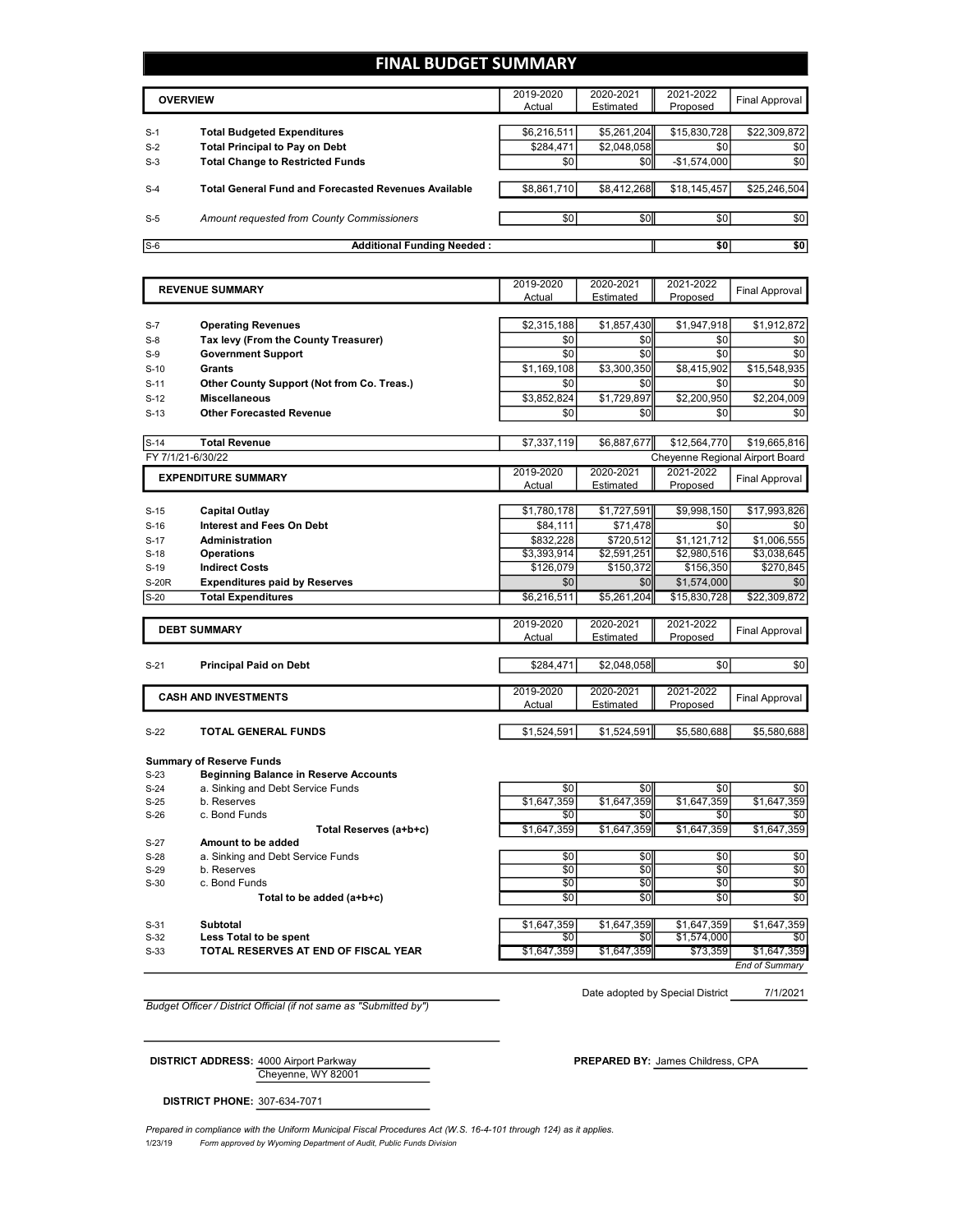## **FINAL BUDGET SUMMARY**

|       | <b>OVERVIEW</b>                                             | 2019-2020<br>Actual | 2020-2021<br>Estimated | 2021-2022<br>Proposed | Final Approval |
|-------|-------------------------------------------------------------|---------------------|------------------------|-----------------------|----------------|
| $S-1$ | <b>Total Budgeted Expenditures</b>                          | \$6,216,511         | \$5,261,204            | \$15,830,728          | \$22,309,872   |
| $S-2$ | <b>Total Principal to Pay on Debt</b>                       | \$284,471           | \$2,048,058            | \$0                   | \$0            |
| $S-3$ | <b>Total Change to Restricted Funds</b>                     | \$0                 | \$0 <sub>1</sub>       | $-$1,574,000$         | \$0            |
| $S-4$ | <b>Total General Fund and Forecasted Revenues Available</b> | \$8,861,710         | \$8,412,268            | \$18,145,457          | \$25,246,504   |
| $S-5$ | Amount requested from County Commissioners                  | \$0                 | \$0                    | \$0                   | \$0            |
| $S-6$ | <b>Additional Funding Needed:</b>                           |                     |                        | \$0                   | \$0            |

| <b>Operating Revenues</b><br>$S-7$<br>Tax levy (From the County Treasurer)<br>$S-8$<br><b>Government Support</b><br>$S-9$<br>Grants<br>$S-10$<br>Other County Support (Not from Co. Treas.)<br>$S-11$<br><b>Miscellaneous</b><br>$S-12$ | Actual<br>\$2,315,188<br>\$0<br>\$0<br>\$1,169,108 | Estimated<br>\$1,857,430<br>\$0<br>\$0 | Proposed<br>\$1,947,918<br>\$0 |                                 |
|-----------------------------------------------------------------------------------------------------------------------------------------------------------------------------------------------------------------------------------------|----------------------------------------------------|----------------------------------------|--------------------------------|---------------------------------|
|                                                                                                                                                                                                                                         |                                                    |                                        |                                | \$1,912,872<br>\$0              |
|                                                                                                                                                                                                                                         |                                                    |                                        |                                |                                 |
|                                                                                                                                                                                                                                         |                                                    |                                        |                                |                                 |
|                                                                                                                                                                                                                                         |                                                    |                                        | \$0                            | \$0                             |
|                                                                                                                                                                                                                                         |                                                    | \$3,300,350                            | \$8,415,902                    | \$15,548,935                    |
|                                                                                                                                                                                                                                         | \$0                                                | \$0                                    | \$0                            | \$0                             |
|                                                                                                                                                                                                                                         | \$3,852,824                                        | \$1,729,897                            | \$2,200,950                    | \$2,204,009                     |
| <b>Other Forecasted Revenue</b><br>$S-13$                                                                                                                                                                                               | \$0                                                | \$0                                    | \$0                            | \$0                             |
| <b>Total Revenue</b><br>$S-14$                                                                                                                                                                                                          | \$7,337,119                                        | \$6,887,677                            | \$12,564,770                   | \$19,665,816                    |
| FY 7/1/21-6/30/22                                                                                                                                                                                                                       |                                                    |                                        |                                | Cheyenne Regional Airport Board |
| <b>EXPENDITURE SUMMARY</b>                                                                                                                                                                                                              | 2019-2020                                          | 2020-2021                              | 2021-2022                      |                                 |
|                                                                                                                                                                                                                                         | Actual                                             | Estimated                              | Proposed                       | Final Approval                  |
| <b>Capital Outlay</b><br>$S-15$                                                                                                                                                                                                         | \$1,780,178                                        | \$1,727,591                            | \$9,998,150                    | \$17,993,826                    |
| <b>Interest and Fees On Debt</b><br>$S-16$                                                                                                                                                                                              | \$84.111                                           | \$71.478                               | \$0                            | \$0                             |
| Administration<br>$S-17$                                                                                                                                                                                                                | \$832,228                                          | \$720,512                              | \$1,121,712                    | \$1,006,555                     |
| $S-18$<br><b>Operations</b>                                                                                                                                                                                                             | \$3,393,914                                        | \$2,591,251                            | \$2,980,516                    | \$3,038,645                     |
| <b>Indirect Costs</b><br>$S-19$                                                                                                                                                                                                         | \$126,079                                          | \$150,372                              | \$156,350                      | \$270,845                       |
| <b>Expenditures paid by Reserves</b><br><b>S-20R</b>                                                                                                                                                                                    | \$0                                                | \$0                                    | \$1,574,000                    | \$0                             |
| <b>Total Expenditures</b><br>$S-20$                                                                                                                                                                                                     | \$6,216,511                                        | \$5,261,204                            | \$15,830,728                   | \$22,309,872                    |
| <b>DEBT SUMMARY</b>                                                                                                                                                                                                                     | 2019-2020<br>Actual                                | 2020-2021<br>Estimated                 | 2021-2022<br>Proposed          | Final Approval                  |
| <b>Principal Paid on Debt</b><br>$S-21$                                                                                                                                                                                                 | \$284,471                                          | \$2,048,058                            | \$0                            | \$0                             |
| <b>CASH AND INVESTMENTS</b>                                                                                                                                                                                                             | 2019-2020<br>Actual                                | 2020-2021<br>Estimated                 | 2021-2022<br>Proposed          | <b>Final Approval</b>           |
| <b>TOTAL GENERAL FUNDS</b><br>$S-22$                                                                                                                                                                                                    | \$1,524,591                                        | \$1,524,591                            | \$5,580,688                    | \$5,580,688                     |

**Summary of Reserve Funds**

|        | Summary of Reserve Funds                     |             |                  |             |             |
|--------|----------------------------------------------|-------------|------------------|-------------|-------------|
| $S-23$ | <b>Beginning Balance in Reserve Accounts</b> |             |                  |             |             |
| $S-24$ | a. Sinking and Debt Service Funds            | \$0         | \$0              | \$0         | \$0         |
| $S-25$ | b. Reserves                                  | \$1,647,359 | \$1,647,359      | \$1,647,359 | \$1,647,359 |
| $S-26$ | c. Bond Funds                                | \$0         | \$0              | \$0         | \$0         |
|        | Total Reserves (a+b+c)                       | \$1,647,359 | \$1,647,359      | \$1,647,359 | \$1,647,359 |
| $S-27$ | Amount to be added                           |             |                  |             |             |
| $S-28$ | a. Sinking and Debt Service Funds            | \$0         | \$0              | \$0         | \$0         |
| $S-29$ | b. Reserves                                  | \$0         | \$0              | \$0         | \$0         |
| $S-30$ | c. Bond Funds                                | \$0         | \$0              | \$0         | \$0         |
|        | Total to be added (a+b+c)                    | \$0         | \$0 <sub>1</sub> | \$0         | \$0         |
| $S-31$ | Subtotal                                     | \$1,647,359 | \$1,647,359      | \$1,647,359 | \$1,647,359 |
| $S-32$ | Less Total to be spent                       | \$0         | \$0 <sub>1</sub> | \$1,574,000 | \$0         |
| $S-33$ | TOTAL RESERVES AT END OF FISCAL YEAR         | \$1,647,359 | \$1,647,359      | \$73,359    | \$1,647,359 |

*End of Summary*

*Budget Officer / District Official (if not same as "Submitted by")*

7/1/2021 Date adopted by Special District

Cheyenne, WY 82001 **DISTRICT ADDRESS:** 4000 Airport Parkway **PREPARED BY: James Childress, CPA** 

**DISTRICT PHONE:** 307-634-7071

1/23/19 *Form approved by Wyoming Department of Audit, Public Funds Division Prepared in compliance with the Uniform Municipal Fiscal Procedures Act (W.S. 16-4-101 through 124) as it applies.*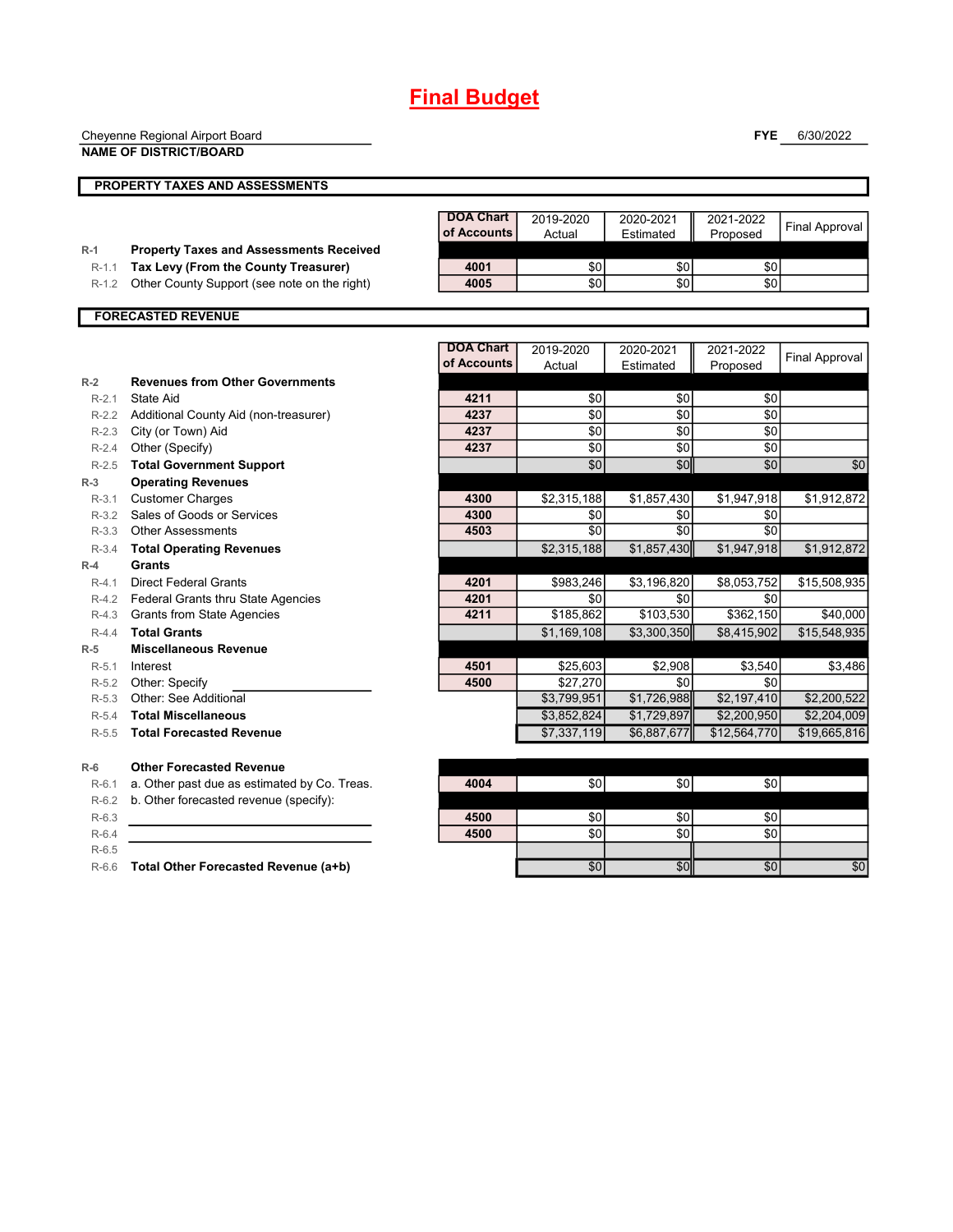| Cheyenne Regional Airport Board |  |
|---------------------------------|--|
| ,,,,,,,,,,,,,,,,,,,,,,,         |  |

**NAME OF DISTRICT/BOARD**

**FYE** 6/30/2022

|           | <b>PROPERTY TAXES AND ASSESSMENTS</b>          |                  |                 |                 |              |                       |
|-----------|------------------------------------------------|------------------|-----------------|-----------------|--------------|-----------------------|
|           |                                                |                  |                 |                 |              |                       |
|           |                                                | <b>DOA Chart</b> | 2019-2020       | 2020-2021       | 2021-2022    | <b>Final Approval</b> |
|           |                                                | of Accounts      | Actual          | Estimated       | Proposed     |                       |
| $R-1$     | <b>Property Taxes and Assessments Received</b> |                  |                 |                 |              |                       |
| $R-1.1$   | Tax Levy (From the County Treasurer)           | 4001             | \$0             | \$0             | \$0          |                       |
| $R-1.2$   | Other County Support (see note on the right)   | 4005             | \$0             | \$0             | \$0          |                       |
|           | <b>FORECASTED REVENUE</b>                      |                  |                 |                 |              |                       |
|           |                                                |                  |                 |                 |              |                       |
|           |                                                | <b>DOA Chart</b> | 2019-2020       | 2020-2021       | 2021-2022    | <b>Final Approval</b> |
|           |                                                | of Accounts      | Actual          | Estimated       | Proposed     |                       |
| $R-2$     | <b>Revenues from Other Governments</b>         |                  |                 |                 |              |                       |
| $R-2.1$   | State Aid                                      | 4211             | \$0             | \$0             | \$0          |                       |
| $R-2.2$   | Additional County Aid (non-treasurer)          | 4237             | \$0             | \$0             | \$0          |                       |
| $R-2.3$   | City (or Town) Aid                             | 4237             | \$0             | \$0             | \$0          |                       |
| $R-2.4$   | Other (Specify)                                | 4237             | \$0             | \$0             | \$0          |                       |
| $R-2.5$   | <b>Total Government Support</b>                |                  | \$0             | \$0             | \$0          | \$0                   |
| $R-3$     | <b>Operating Revenues</b>                      |                  |                 |                 |              |                       |
| $R-3.1$   | <b>Customer Charges</b>                        | 4300             | \$2,315,188     | \$1,857,430     | \$1,947,918  | \$1,912,872           |
| $R-3.2$   | Sales of Goods or Services                     | 4300             | \$0             | \$0             | \$0          |                       |
| $R-3.3$   | <b>Other Assessments</b>                       | 4503             | $\overline{50}$ | $\overline{50}$ | \$0          |                       |
| $R-3.4$   | <b>Total Operating Revenues</b>                |                  | \$2,315,188     | \$1,857,430     | \$1,947,918  | \$1,912,872           |
| $R-4$     | <b>Grants</b>                                  |                  |                 |                 |              |                       |
| $R - 4$ 1 | <b>Direct Federal Grants</b>                   | 4201             | \$983,246       | \$3,196,820     | \$8,053,752  | \$15,508,935          |
| $R-4.2$   | Federal Grants thru State Agencies             | 4201             | \$0             | \$0             | \$0          |                       |
| $R-4.3$   | <b>Grants from State Agencies</b>              | 4211             | \$185,862       | \$103,530       | \$362,150    | \$40,000              |
| $R-4.4$   | <b>Total Grants</b>                            |                  | \$1,169,108     | \$3,300,350     | \$8,415,902  | \$15,548,935          |
| $R-5$     | <b>Miscellaneous Revenue</b>                   |                  |                 |                 |              |                       |
| $R-5.1$   | Interest                                       | 4501             | \$25,603        | \$2,908         | \$3,540      | \$3,486               |
| $R-5.2$   | Other: Specify                                 | 4500             | \$27,270        | \$0             | \$0          |                       |
| $R-5.3$   | Other: See Additional                          |                  | \$3,799,951     | \$1,726,988     | \$2,197,410  | \$2,200,522           |
| $R-5.4$   | <b>Total Miscellaneous</b>                     |                  | \$3,852,824     | \$1,729,897     | \$2,200,950  | \$2,204,009           |
| $R-5.5$   | <b>Total Forecasted Revenue</b>                |                  | \$7,337,119     | \$6,887,677     | \$12,564,770 | \$19,665,816          |
| $R-6$     | <b>Other Forecasted Revenue</b>                |                  |                 |                 |              |                       |
| $R-6.1$   | a. Other past due as estimated by Co. Treas.   | 4004             | \$0             | \$0             | \$0          |                       |
| $R-6.2$   | b. Other forecasted revenue (specify):         |                  |                 |                 |              |                       |

R-6.3 **4500** \$0 \$0 \$0 R-6.4 **4500** \$0 \$0 \$0 R-6.5

R-6.6 **Total Other Forecasted Revenue (a+b)** \$0 \$0 \$0 \$0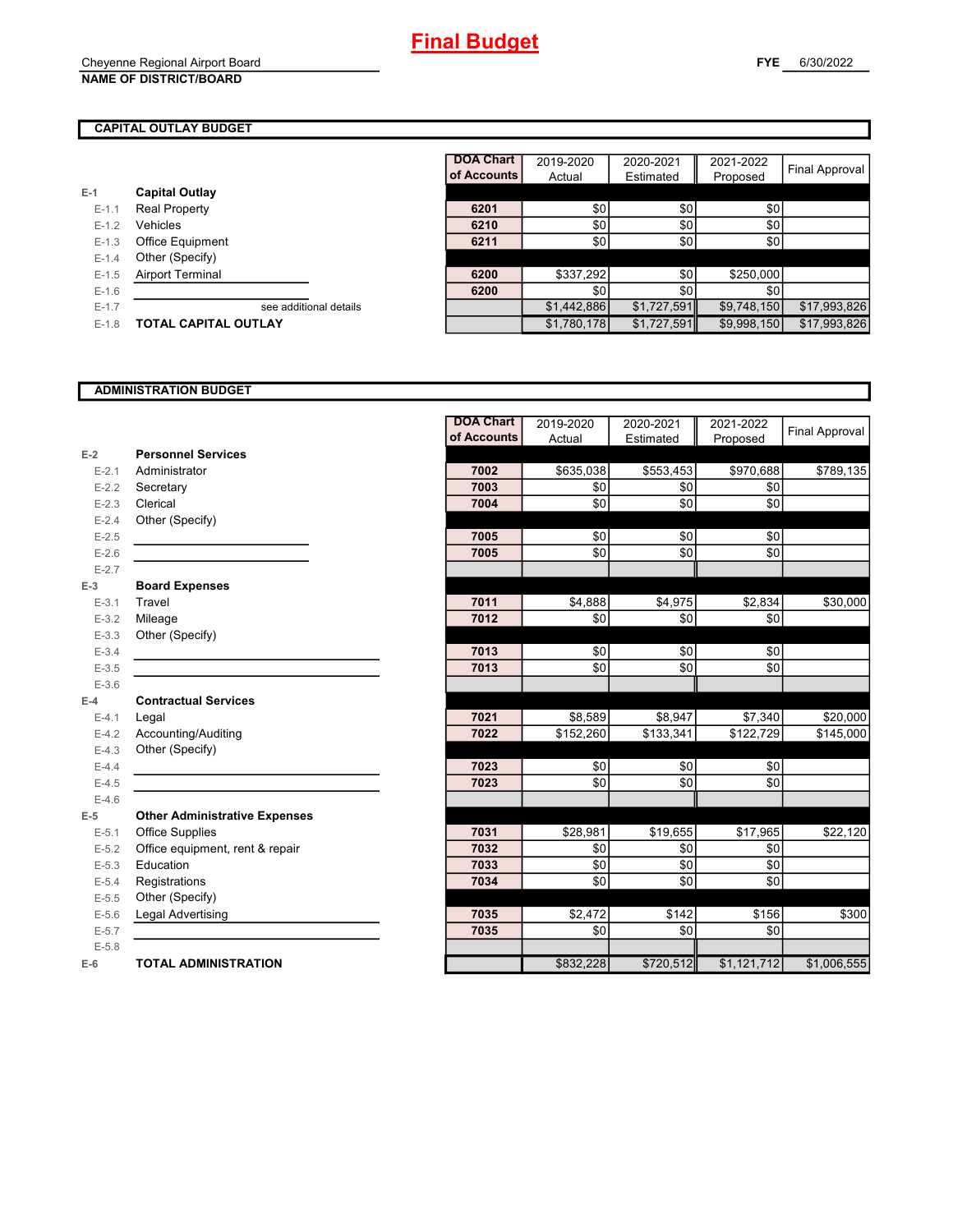## **CAPITAL OUTLAY BUDGET**

|           |                         | <b>DOA Chart</b> | 2019-2020        | 2020-2021   | 2021-2022   |                |
|-----------|-------------------------|------------------|------------------|-------------|-------------|----------------|
|           |                         | of Accounts      | Actual           | Estimated   | Proposed    | Final Approval |
| $E-1$     | <b>Capital Outlay</b>   |                  |                  |             |             |                |
| $E-1.1$   | Real Property           | 6201             | \$0              | \$0         | \$0         |                |
| $E-1.2$   | Vehicles                | 6210             | \$0              | \$0         | \$0         |                |
| $E - 1.3$ | Office Equipment        | 6211             | \$0 <sub>1</sub> | \$0         | \$0         |                |
| $E - 1.4$ | Other (Specify)         |                  |                  |             |             |                |
| $E-1.5$   | <b>Airport Terminal</b> | 6200             | \$337,292        | \$0         | \$250,000   |                |
| $E-1.6$   |                         | 6200             | \$0              | \$0         | \$0         |                |
| $E-1.7$   | see additional details  |                  | \$1,442,886      | \$1,727,591 | \$9,748,150 | \$17,993,826   |
| $E-1.8$   | TOTAL CAPITAL OUTLAY    |                  | \$1,780,178      | \$1,727,591 | \$9,998,150 | \$17,993,826   |

## **ADMINISTRATION BUDGET**

|           |                                      | <b>DOA Chart</b> | 2019-2020 | 2020-2021  | 2021-2022            | Final Approval |
|-----------|--------------------------------------|------------------|-----------|------------|----------------------|----------------|
|           |                                      | of Accounts      | Actual    | Estimated  | Proposed             |                |
| $E-2$     | <b>Personnel Services</b>            |                  |           |            |                      |                |
| $E - 2.1$ | Administrator                        | 7002             | \$635,038 | \$553,453  | \$970,688            | \$789,135      |
| $E - 2.2$ | Secretary                            | 7003             | \$0       | \$0        | \$0                  |                |
| $E-2.3$   | Clerical                             | 7004             | \$0       | \$0        | \$0                  |                |
| $E - 2.4$ | Other (Specify)                      |                  |           |            |                      |                |
| $E - 2.5$ |                                      | 7005             | \$0       | \$0        | \$0                  |                |
| $E-2.6$   |                                      | 7005             | \$0       | \$0        | \$0                  |                |
| $E - 2.7$ |                                      |                  |           |            |                      |                |
| $E-3$     | <b>Board Expenses</b>                |                  |           |            |                      |                |
| $E - 3.1$ | Travel                               | 7011             | \$4,888   | \$4,975    | \$2,834              | \$30,000       |
| $E - 3.2$ | Mileage                              | 7012             | \$0       | \$0        | \$0                  |                |
| $E - 3.3$ | Other (Specify)                      |                  |           |            |                      |                |
| $E - 3.4$ |                                      | 7013             | \$0       | \$0        | \$0                  |                |
| $E - 3.5$ |                                      | 7013             | \$0       | \$0        | \$0                  |                |
| $E - 3.6$ |                                      |                  |           |            |                      |                |
| $E-4$     | <b>Contractual Services</b>          |                  |           |            |                      |                |
| $E - 4.1$ | Legal                                | 7021             | \$8,589   | \$8,947    | \$7,340              | \$20,000       |
| $E-4.2$   | Accounting/Auditing                  | 7022             | \$152,260 | \$133,341  | \$122,729            | \$145,000      |
| $E-4.3$   | Other (Specify)                      |                  |           |            |                      |                |
| $E-4.4$   |                                      | 7023             | \$0       | \$0        | \$0                  |                |
| $E-4.5$   |                                      | 7023             | \$0       | \$0        | \$0                  |                |
| $E-4.6$   |                                      |                  |           |            |                      |                |
| $E-5$     | <b>Other Administrative Expenses</b> |                  |           |            |                      |                |
| $E - 5.1$ | <b>Office Supplies</b>               | 7031             | \$28,981  | \$19,655   | $\overline{$}17,965$ | \$22,120       |
| $E - 5.2$ | Office equipment, rent & repair      | 7032             | \$0       | \$0        | \$0                  |                |
| $E-5.3$   | Education                            | 7033             | \$0       | \$0        | \$0                  |                |
| $E - 5.4$ | Registrations                        | 7034             | \$0       | $\sqrt{6}$ | \$0                  |                |
| $E-5.5$   | Other (Specify)                      |                  |           |            |                      |                |
| $E-5.6$   | Legal Advertising                    | 7035             | \$2,472   | \$142      | \$156                | \$300          |
| $E - 5.7$ |                                      | 7035             | \$0       | \$0        | \$0                  |                |
| $E - 5.8$ |                                      |                  |           |            |                      |                |
| $E-6$     | <b>TOTAL ADMINISTRATION</b>          |                  | \$832,228 | \$720,512  | \$1,121,712          | \$1,006,555    |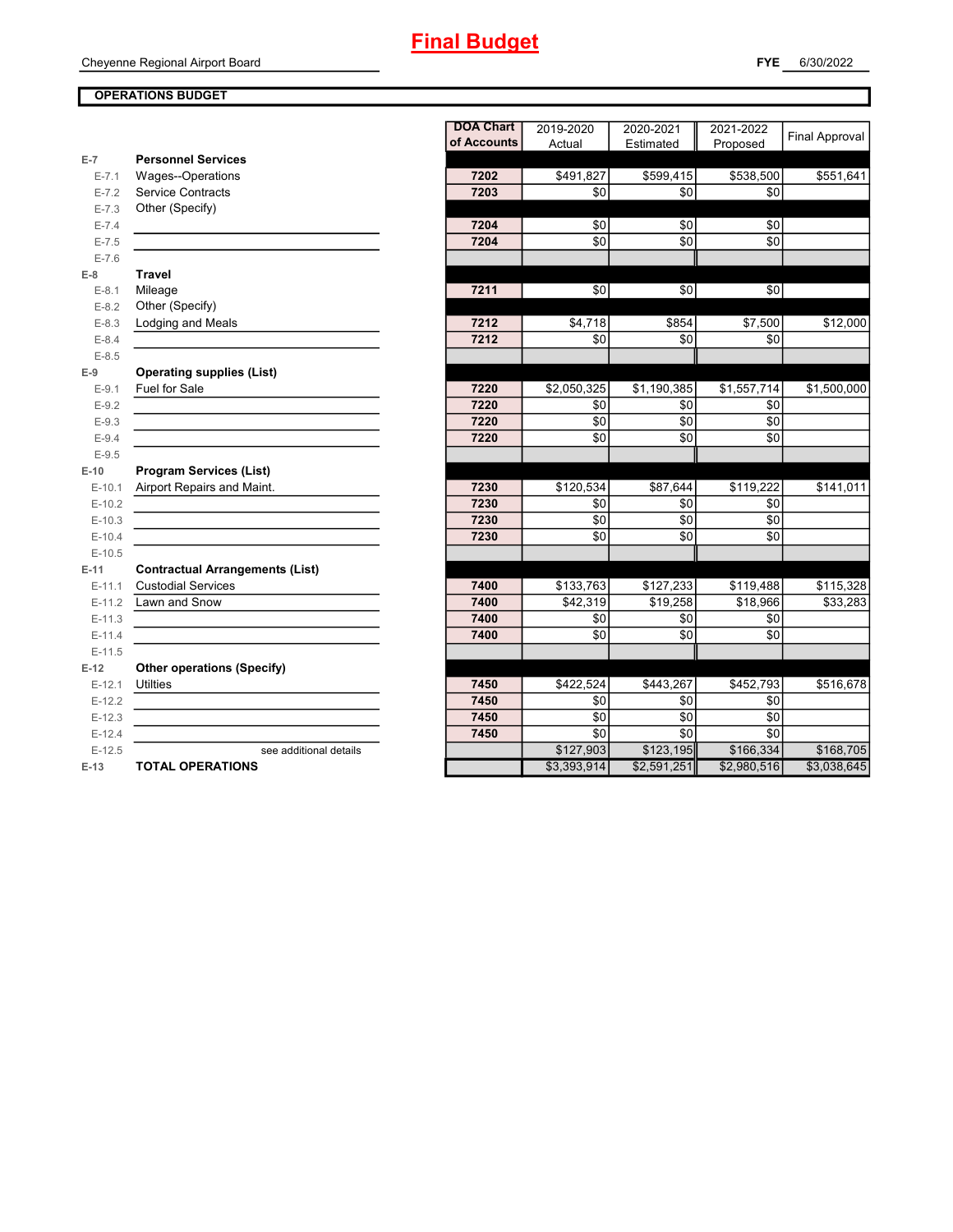## **OPERATIONS BUDGET**

**E-7**

**E-8 Travel**

**E-9**

**E-10**

**E-11 Contractual Arrangements (List)**

**E-12 Other operations (Specify)**

|           |                                        | <b>DOA Chart</b> | 2019-2020   | 2020-2021   | 2021-2022   | <b>Final Approval</b> |
|-----------|----------------------------------------|------------------|-------------|-------------|-------------|-----------------------|
|           |                                        | of Accounts      | Actual      | Estimated   | Proposed    |                       |
| $E-7$     | <b>Personnel Services</b>              |                  |             |             |             |                       |
| $E - 7.1$ | Wages--Operations                      | 7202             | \$491,827   | \$599,415   | \$538,500   | \$551,641             |
| $E - 7.2$ | Service Contracts                      | 7203             | \$0         | \$0         | \$0         |                       |
| $E - 7.3$ | Other (Specify)                        |                  |             |             |             |                       |
| $E - 7.4$ |                                        | 7204             | \$0         | \$0         | \$0         |                       |
| $E - 7.5$ |                                        | 7204             | \$0         | \$0         | \$0         |                       |
| $E - 7.6$ |                                        |                  |             |             |             |                       |
| $E-8$     | <b>Travel</b>                          |                  |             |             |             |                       |
| $E-8.1$   | Mileage                                | 7211             | \$0         | \$0         | \$0         |                       |
| $E - 8.2$ | Other (Specify)                        |                  |             |             |             |                       |
| $E - 8.3$ | Lodging and Meals                      | 7212             | \$4,718     | \$854       | \$7,500     | \$12,000              |
| $E - 8.4$ |                                        | 7212             | \$0         | \$0         | \$0         |                       |
| $E-8.5$   |                                        |                  |             |             |             |                       |
| $E-9$     | <b>Operating supplies (List)</b>       |                  |             |             |             |                       |
| $E-9.1$   | Fuel for Sale                          | 7220             | \$2,050,325 | \$1,190,385 | \$1,557,714 | \$1,500,000           |
| $E-9.2$   |                                        | 7220             | \$0         | \$0         | \$0         |                       |
| $E - 9.3$ |                                        | 7220             | \$0         | \$0         | \$0         |                       |
| $E - 9.4$ |                                        | 7220             | \$0         | \$0         | \$0         |                       |
| $E - 9.5$ |                                        |                  |             |             |             |                       |
| $E-10$    | <b>Program Services (List)</b>         |                  |             |             |             |                       |
| $E-10.1$  | Airport Repairs and Maint.             | 7230             | \$120,534   | \$87,644    | \$119,222   | \$141,011             |
| $E-10.2$  |                                        | 7230             | \$0         | \$0         | \$0         |                       |
| $E-10.3$  |                                        | 7230             | \$0         | \$0         | \$0         |                       |
| $E-10.4$  |                                        | 7230             | \$0         | \$0         | \$0         |                       |
| $E-10.5$  |                                        |                  |             |             |             |                       |
| $E-11$    | <b>Contractual Arrangements (List)</b> |                  |             |             |             |                       |
| $E-11.1$  | <b>Custodial Services</b>              | 7400             | \$133,763   | \$127,233   | \$119,488   | \$115,328             |
| $E-11.2$  | Lawn and Snow                          | 7400             | \$42,319    | \$19,258    | \$18,966    | \$33,283              |
| $E-11.3$  |                                        | 7400             | \$0         | \$0         | \$0         |                       |
| $E-11.4$  |                                        | 7400             | \$0         | \$0         | \$0         |                       |
| $E-11.5$  |                                        |                  |             |             |             |                       |
| $E-12$    | <b>Other operations (Specify)</b>      |                  |             |             |             |                       |
| $E-12.1$  | <b>Utilties</b>                        | 7450             | \$422,524   | \$443,267   | \$452,793   | \$516,678             |
| $E-12.2$  |                                        | 7450             | \$0         | \$0         | \$0         |                       |
| $E-12.3$  |                                        | 7450             | \$0         | \$0         | \$0         |                       |
| $E-12.4$  |                                        | 7450             | \$0         | \$0         | \$0         |                       |
| $E-12.5$  | see additional details                 |                  | \$127,903   | \$123,195   | \$166,334   | \$168,705             |
| $E-13$    | <b>TOTAL OPERATIONS</b>                |                  | \$3,393,914 | \$2,591,251 | \$2,980,516 | \$3,038,645           |
|           |                                        |                  |             |             |             |                       |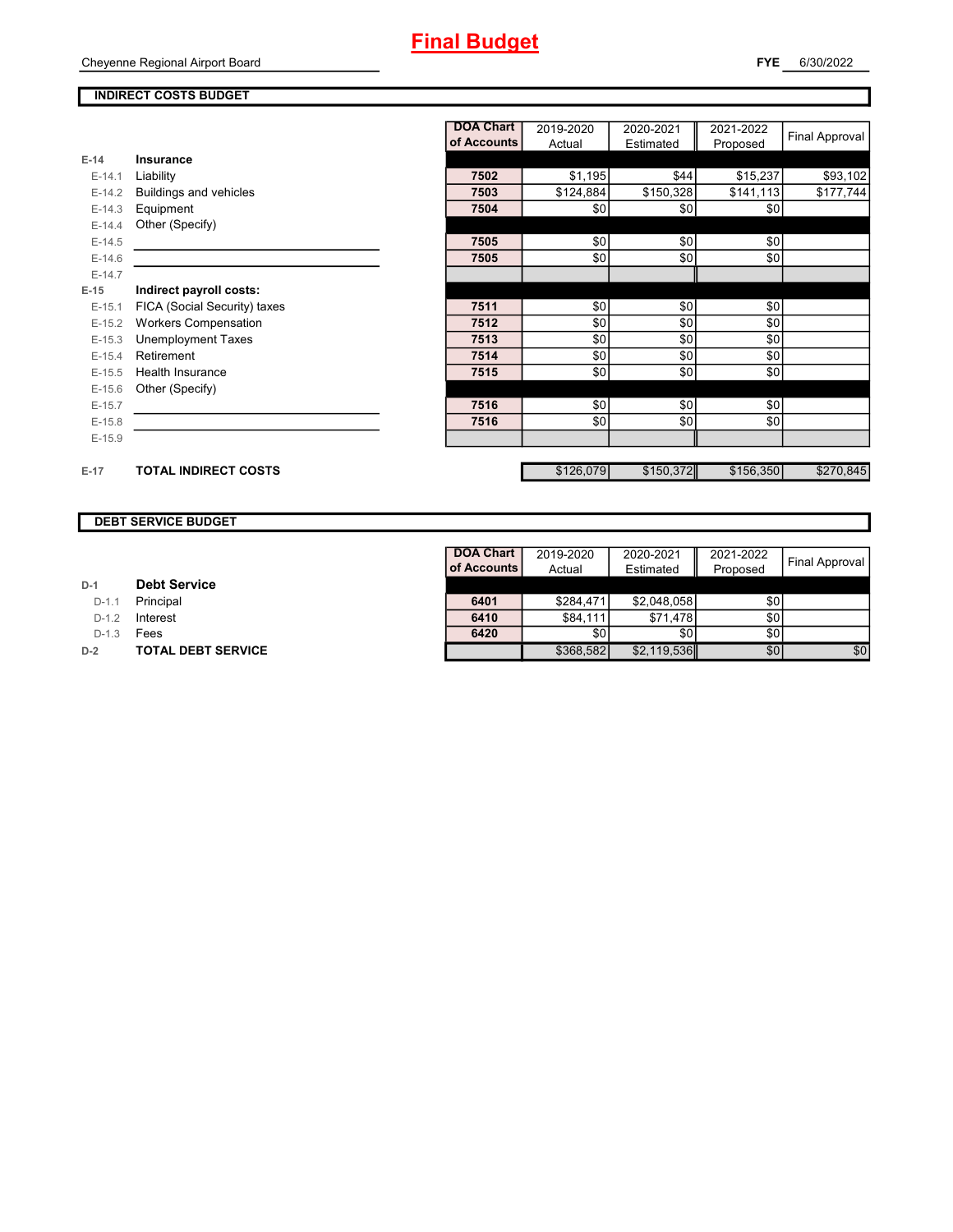## **INDIRECT COSTS BUDGET**

|          |                              | <b>DOA Chart</b> | 2019-2020 | 2020-2021 | 2021-2022 | <b>Final Approval</b> |
|----------|------------------------------|------------------|-----------|-----------|-----------|-----------------------|
|          |                              | of Accounts      | Actual    | Estimated | Proposed  |                       |
| $E-14$   | Insurance                    |                  |           |           |           |                       |
| $E-14.1$ | Liability                    | 7502             | \$1,195   | \$44      | \$15,237  | \$93,102              |
| $E-14.2$ | Buildings and vehicles       | 7503             | \$124,884 | \$150,328 | \$141,113 | \$177,744             |
| $E-14.3$ | Equipment                    | 7504             | \$0       | \$0       | \$0       |                       |
| $E-14.4$ | Other (Specify)              |                  |           |           |           |                       |
| $E-14.5$ |                              | 7505             | \$0       | \$0       | \$0       |                       |
| $E-14.6$ |                              | 7505             | \$0       | \$0       | \$0       |                       |
| $E-14.7$ |                              |                  |           |           |           |                       |
| $E-15$   | Indirect payroll costs:      |                  |           |           |           |                       |
| $E-15.1$ | FICA (Social Security) taxes | 7511             | \$0       | \$0       | \$0       |                       |
| $E-15.2$ | <b>Workers Compensation</b>  | 7512             | \$0       | \$0       | \$0       |                       |
| $E-15.3$ | <b>Unemployment Taxes</b>    | 7513             | \$0       | \$0       | \$0       |                       |
| $E-15.4$ | Retirement                   | 7514             | \$0       | \$0       | \$0       |                       |
| $E-15.5$ | <b>Health Insurance</b>      | 7515             | \$0       | \$0       | \$0       |                       |
| $E-15.6$ | Other (Specify)              |                  |           |           |           |                       |
| $E-15.7$ |                              | 7516             | \$0       | \$0       | \$0       |                       |
| $E-15.8$ |                              | 7516             | \$0       | \$0       | \$0       |                       |
| $E-15.9$ |                              |                  |           |           |           |                       |
|          |                              |                  |           |           |           |                       |
| $E-17$   | <b>TOTAL INDIRECT COSTS</b>  |                  | \$126,079 | \$150,372 | \$156,350 | \$270,845             |

## **DEBT SERVICE BUDGET**

D-1.1 **Principal** 

**D-1.2 Interest** 

D-1.3 **Fees** 

**D-2 TOTAL DEBT SERVICE** 

| <b>DOA Chart</b> | 2019-2020 | 2020-2021   | 2021-2022 | <b>Final Approval</b> |
|------------------|-----------|-------------|-----------|-----------------------|
| of Accounts      | Actual    | Estimated   | Proposed  |                       |
|                  |           |             |           |                       |
| 6401             | \$284,471 | \$2,048,058 | \$0       |                       |
| 6410             | \$84,111  | \$71,478    | \$0       |                       |
| 6420             | \$0       | \$0         | \$0       |                       |
|                  | \$368,582 | \$2,119,536 | \$0       | \$0                   |